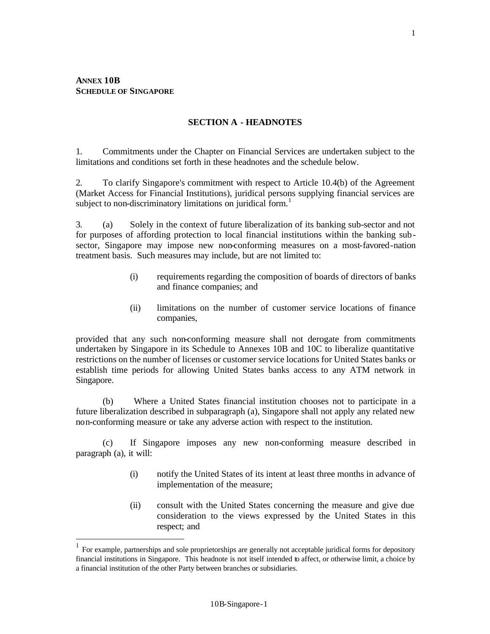$\overline{a}$ 

### **SECTION A - HEADNOTES**

1. Commitments under the Chapter on Financial Services are undertaken subject to the limitations and conditions set forth in these headnotes and the schedule below.

2. To clarify Singapore's commitment with respect to Article 10.4(b) of the Agreement (Market Access for Financial Institutions), juridical persons supplying financial services are subject to non-discriminatory limitations on juridical form.<sup>1</sup>

3. (a) Solely in the context of future liberalization of its banking sub-sector and not for purposes of affording protection to local financial institutions within the banking subsector, Singapore may impose new non-conforming measures on a most-favored-nation treatment basis. Such measures may include, but are not limited to:

- (i) requirements regarding the composition of boards of directors of banks and finance companies; and
- (ii) limitations on the number of customer service locations of finance companies,

provided that any such non-conforming measure shall not derogate from commitments undertaken by Singapore in its Schedule to Annexes 10B and 10C to liberalize quantitative restrictions on the number of licenses or customer service locations for United States banks or establish time periods for allowing United States banks access to any ATM network in Singapore.

(b) Where a United States financial institution chooses not to participate in a future liberalization described in subparagraph (a), Singapore shall not apply any related new non-conforming measure or take any adverse action with respect to the institution.

(c) If Singapore imposes any new non-conforming measure described in paragraph (a), it will:

- (i) notify the United States of its intent at least three months in advance of implementation of the measure;
- (ii) consult with the United States concerning the measure and give due consideration to the views expressed by the United States in this respect; and

<sup>1</sup> For example, partnerships and sole proprietorships are generally not acceptable juridical forms for depository financial institutions in Singapore. This headnote is not itself intended to affect, or otherwise limit, a choice by a financial institution of the other Party between branches or subsidiaries.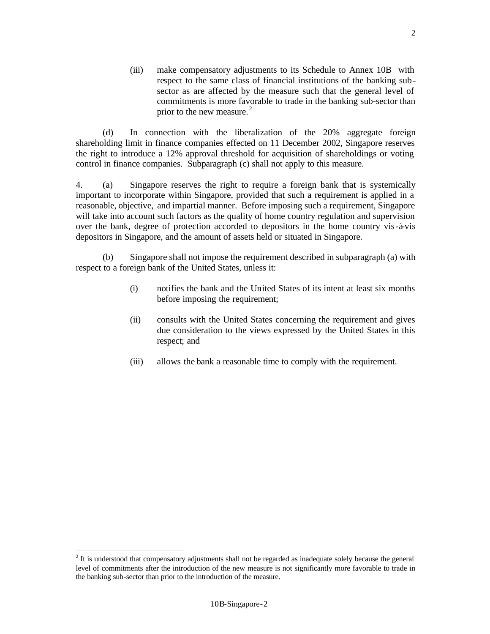(iii) make compensatory adjustments to its Schedule to Annex 10B with respect to the same class of financial institutions of the banking subsector as are affected by the measure such that the general level of commitments is more favorable to trade in the banking sub-sector than prior to the new measure.<sup>2</sup>

(d) In connection with the liberalization of the 20% aggregate foreign shareholding limit in finance companies effected on 11 December 2002, Singapore reserves the right to introduce a 12% approval threshold for acquisition of shareholdings or voting control in finance companies. Subparagraph (c) shall not apply to this measure.

4. (a) Singapore reserves the right to require a foreign bank that is systemically important to incorporate within Singapore, provided that such a requirement is applied in a reasonable, objective, and impartial manner. Before imposing such a requirement, Singapore will take into account such factors as the quality of home country regulation and supervision over the bank, degree of protection accorded to depositors in the home country vis-à-vis depositors in Singapore, and the amount of assets held or situated in Singapore.

(b) Singapore shall not impose the requirement described in subparagraph (a) with respect to a foreign bank of the United States, unless it:

- (i) notifies the bank and the United States of its intent at least six months before imposing the requirement;
- (ii) consults with the United States concerning the requirement and gives due consideration to the views expressed by the United States in this respect; and
- (iii) allows the bank a reasonable time to comply with the requirement.

-

 $2$  It is understood that compensatory adjustments shall not be regarded as inadequate solely because the general level of commitments after the introduction of the new measure is not significantly more favorable to trade in the banking sub-sector than prior to the introduction of the measure.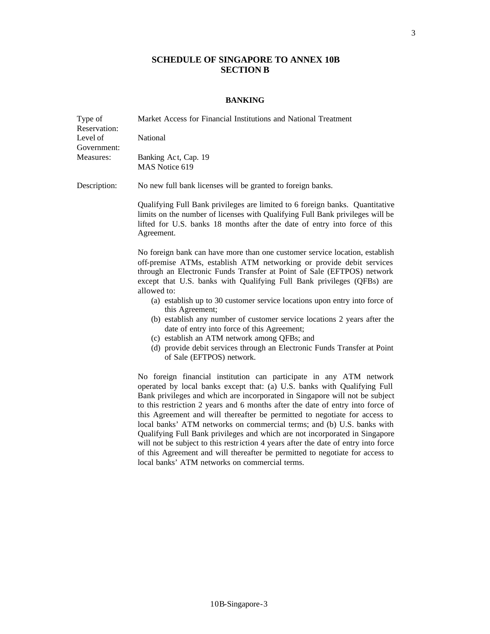# **SCHEDULE OF SINGAPORE TO ANNEX 10B SECTION B**

### **BANKING**

| Type of<br>Reservation:<br>Level of<br>Government:<br>Measures: | Market Access for Financial Institutions and National Treatment                                                                                                                                                                                                                                                                                                                                                                                                                                                                                                                                                                                                                                                                                                                  |
|-----------------------------------------------------------------|----------------------------------------------------------------------------------------------------------------------------------------------------------------------------------------------------------------------------------------------------------------------------------------------------------------------------------------------------------------------------------------------------------------------------------------------------------------------------------------------------------------------------------------------------------------------------------------------------------------------------------------------------------------------------------------------------------------------------------------------------------------------------------|
|                                                                 | National                                                                                                                                                                                                                                                                                                                                                                                                                                                                                                                                                                                                                                                                                                                                                                         |
|                                                                 | Banking Act, Cap. 19<br>MAS Notice 619                                                                                                                                                                                                                                                                                                                                                                                                                                                                                                                                                                                                                                                                                                                                           |
| Description:                                                    | No new full bank licenses will be granted to foreign banks.                                                                                                                                                                                                                                                                                                                                                                                                                                                                                                                                                                                                                                                                                                                      |
|                                                                 | Qualifying Full Bank privileges are limited to 6 foreign banks. Quantitative<br>limits on the number of licenses with Qualifying Full Bank privileges will be<br>lifted for U.S. banks 18 months after the date of entry into force of this<br>Agreement.                                                                                                                                                                                                                                                                                                                                                                                                                                                                                                                        |
|                                                                 | No foreign bank can have more than one customer service location, establish<br>off-premise ATMs, establish ATM networking or provide debit services<br>through an Electronic Funds Transfer at Point of Sale (EFTPOS) network<br>except that U.S. banks with Qualifying Full Bank privileges (QFBs) are<br>allowed to:                                                                                                                                                                                                                                                                                                                                                                                                                                                           |
|                                                                 | (a) establish up to 30 customer service locations upon entry into force of<br>this Agreement;<br>(b) establish any number of customer service locations 2 years after the<br>date of entry into force of this Agreement;                                                                                                                                                                                                                                                                                                                                                                                                                                                                                                                                                         |
|                                                                 | (c) establish an ATM network among QFBs; and<br>(d) provide debit services through an Electronic Funds Transfer at Point<br>of Sale (EFTPOS) network.                                                                                                                                                                                                                                                                                                                                                                                                                                                                                                                                                                                                                            |
|                                                                 | No foreign financial institution can participate in any ATM network<br>operated by local banks except that: (a) U.S. banks with Qualifying Full<br>Bank privileges and which are incorporated in Singapore will not be subject<br>to this restriction 2 years and 6 months after the date of entry into force of<br>this Agreement and will thereafter be permitted to negotiate for access to<br>local banks' ATM networks on commercial terms; and (b) U.S. banks with<br>Qualifying Full Bank privileges and which are not incorporated in Singapore<br>will not be subject to this restriction 4 years after the date of entry into force<br>of this Agreement and will thereafter be permitted to negotiate for access to<br>local banks' ATM networks on commercial terms. |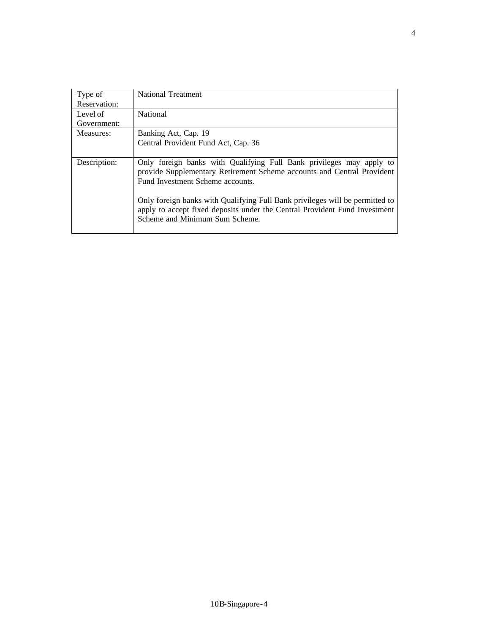| Type of      | National Treatment                                                                                                                                                                           |
|--------------|----------------------------------------------------------------------------------------------------------------------------------------------------------------------------------------------|
| Reservation: |                                                                                                                                                                                              |
| Level of     | National                                                                                                                                                                                     |
| Government:  |                                                                                                                                                                                              |
| Measures:    | Banking Act, Cap. 19                                                                                                                                                                         |
|              | Central Provident Fund Act, Cap. 36                                                                                                                                                          |
|              |                                                                                                                                                                                              |
| Description: | Only foreign banks with Qualifying Full Bank privileges may apply to<br>provide Supplementary Retirement Scheme accounts and Central Provident<br>Fund Investment Scheme accounts.           |
|              | Only foreign banks with Qualifying Full Bank privileges will be permitted to<br>apply to accept fixed deposits under the Central Provident Fund Investment<br>Scheme and Minimum Sum Scheme. |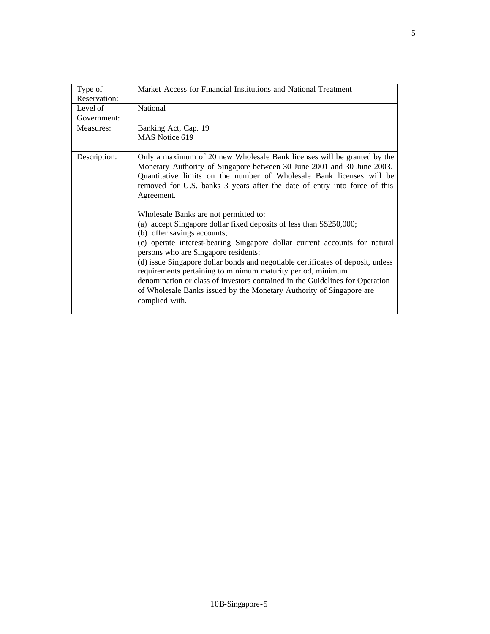| Type of      | Market Access for Financial Institutions and National Treatment                                                                                                                                                                                                                                                                                                                                                                                                                                                                                                                               |
|--------------|-----------------------------------------------------------------------------------------------------------------------------------------------------------------------------------------------------------------------------------------------------------------------------------------------------------------------------------------------------------------------------------------------------------------------------------------------------------------------------------------------------------------------------------------------------------------------------------------------|
| Reservation: |                                                                                                                                                                                                                                                                                                                                                                                                                                                                                                                                                                                               |
| Level of     | National                                                                                                                                                                                                                                                                                                                                                                                                                                                                                                                                                                                      |
| Government:  |                                                                                                                                                                                                                                                                                                                                                                                                                                                                                                                                                                                               |
| Measures:    | Banking Act, Cap. 19                                                                                                                                                                                                                                                                                                                                                                                                                                                                                                                                                                          |
|              | MAS Notice 619                                                                                                                                                                                                                                                                                                                                                                                                                                                                                                                                                                                |
| Description: | Only a maximum of 20 new Wholesale Bank licenses will be granted by the<br>Monetary Authority of Singapore between 30 June 2001 and 30 June 2003.<br>Quantitative limits on the number of Wholesale Bank licenses will be<br>removed for U.S. banks 3 years after the date of entry into force of this<br>Agreement.                                                                                                                                                                                                                                                                          |
|              | Wholesale Banks are not permitted to:<br>(a) accept Singapore dollar fixed deposits of less than S\$250,000;<br>(b) offer savings accounts;<br>(c) operate interest-bearing Singapore dollar current accounts for natural<br>persons who are Singapore residents;<br>(d) issue Singapore dollar bonds and negotiable certificates of deposit, unless<br>requirements pertaining to minimum maturity period, minimum<br>denomination or class of investors contained in the Guidelines for Operation<br>of Wholesale Banks issued by the Monetary Authority of Singapore are<br>complied with. |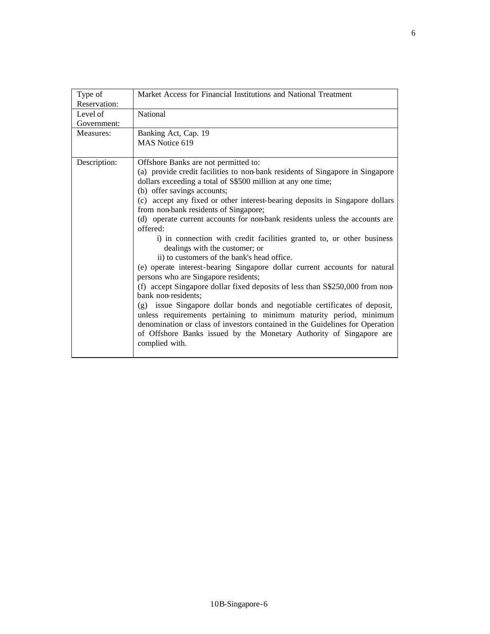| Type of<br>Reservation: | Market Access for Financial Institutions and National Treatment                                                                                                                                                                                                                                                         |
|-------------------------|-------------------------------------------------------------------------------------------------------------------------------------------------------------------------------------------------------------------------------------------------------------------------------------------------------------------------|
| Level of                | National                                                                                                                                                                                                                                                                                                                |
| Government:             |                                                                                                                                                                                                                                                                                                                         |
| Measures:               | Banking Act, Cap. 19                                                                                                                                                                                                                                                                                                    |
|                         | MAS Notice 619                                                                                                                                                                                                                                                                                                          |
| Description:            | Offshore Banks are not permitted to:                                                                                                                                                                                                                                                                                    |
|                         | (a) provide credit facilities to non-bank residents of Singapore in Singapore<br>dollars exceeding a total of S\$500 million at any one time;                                                                                                                                                                           |
|                         | (b) offer savings accounts;                                                                                                                                                                                                                                                                                             |
|                         | (c) accept any fixed or other interest-bearing deposits in Singapore dollars<br>from non-bank residents of Singapore;                                                                                                                                                                                                   |
|                         | (d) operate current accounts for non-bank residents unless the accounts are<br>offered:                                                                                                                                                                                                                                 |
|                         | i) in connection with credit facilities granted to, or other business<br>dealings with the customer; or                                                                                                                                                                                                                 |
|                         | ii) to customers of the bank's head office.                                                                                                                                                                                                                                                                             |
|                         | (e) operate interest-bearing Singapore dollar current accounts for natural<br>persons who are Singapore residents;                                                                                                                                                                                                      |
|                         | (f) accept Singapore dollar fixed deposits of less than S\$250,000 from non-<br>bank non-residents;                                                                                                                                                                                                                     |
|                         | (g) issue Singapore dollar bonds and negotiable certificates of deposit,<br>unless requirements pertaining to minimum maturity period, minimum<br>denomination or class of investors contained in the Guidelines for Operation<br>of Offshore Banks issued by the Monetary Authority of Singapore are<br>complied with. |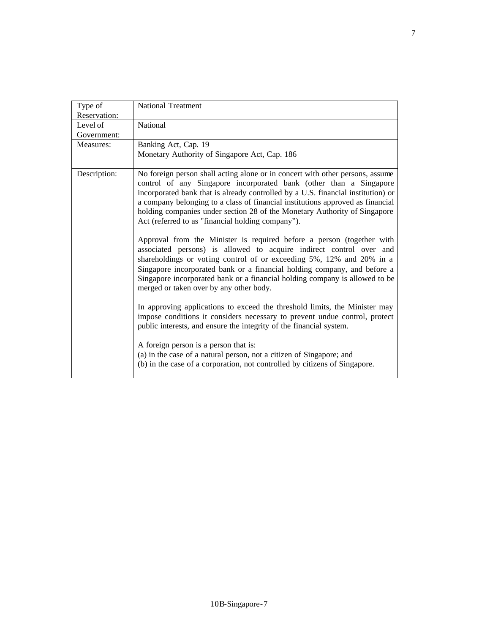| Type of      | <b>National Treatment</b>                                                                                                                                                                                                                                                                                                                                                                                                                                   |
|--------------|-------------------------------------------------------------------------------------------------------------------------------------------------------------------------------------------------------------------------------------------------------------------------------------------------------------------------------------------------------------------------------------------------------------------------------------------------------------|
| Reservation: |                                                                                                                                                                                                                                                                                                                                                                                                                                                             |
|              |                                                                                                                                                                                                                                                                                                                                                                                                                                                             |
| Level of     | National                                                                                                                                                                                                                                                                                                                                                                                                                                                    |
| Government:  |                                                                                                                                                                                                                                                                                                                                                                                                                                                             |
| Measures:    | Banking Act, Cap. 19                                                                                                                                                                                                                                                                                                                                                                                                                                        |
|              | Monetary Authority of Singapore Act, Cap. 186                                                                                                                                                                                                                                                                                                                                                                                                               |
| Description: | No foreign person shall acting alone or in concert with other persons, assume<br>control of any Singapore incorporated bank (other than a Singapore<br>incorporated bank that is already controlled by a U.S. financial institution) or<br>a company belonging to a class of financial institutions approved as financial<br>holding companies under section 28 of the Monetary Authority of Singapore<br>Act (referred to as "financial holding company"). |
|              | Approval from the Minister is required before a person (together with<br>associated persons) is allowed to acquire indirect control over and<br>shareholdings or voting control of or exceeding 5%, 12% and 20% in a<br>Singapore incorporated bank or a financial holding company, and before a<br>Singapore incorporated bank or a financial holding company is allowed to be<br>merged or taken over by any other body.                                  |
|              | In approving applications to exceed the threshold limits, the Minister may<br>impose conditions it considers necessary to prevent undue control, protect<br>public interests, and ensure the integrity of the financial system.                                                                                                                                                                                                                             |
|              | A foreign person is a person that is:<br>(a) in the case of a natural person, not a citizen of Singapore; and<br>(b) in the case of a corporation, not controlled by citizens of Singapore.                                                                                                                                                                                                                                                                 |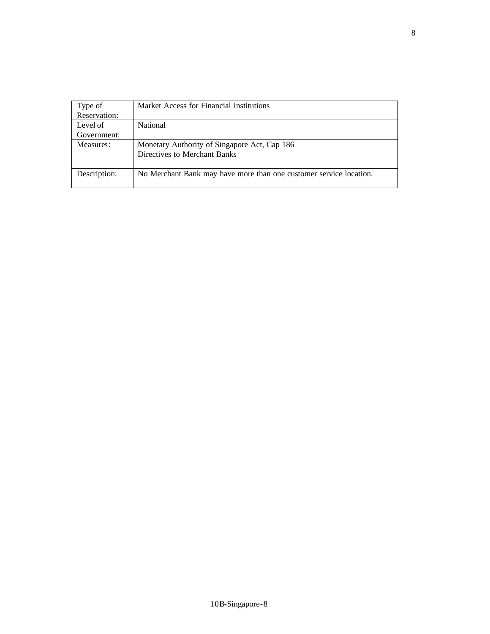| Type of      | Market Access for Financial Institutions                           |
|--------------|--------------------------------------------------------------------|
| Reservation: |                                                                    |
| Level of     | <b>National</b>                                                    |
| Government:  |                                                                    |
| Measures:    | Monetary Authority of Singapore Act, Cap 186                       |
|              | Directives to Merchant Banks                                       |
|              |                                                                    |
| Description: | No Merchant Bank may have more than one customer service location. |
|              |                                                                    |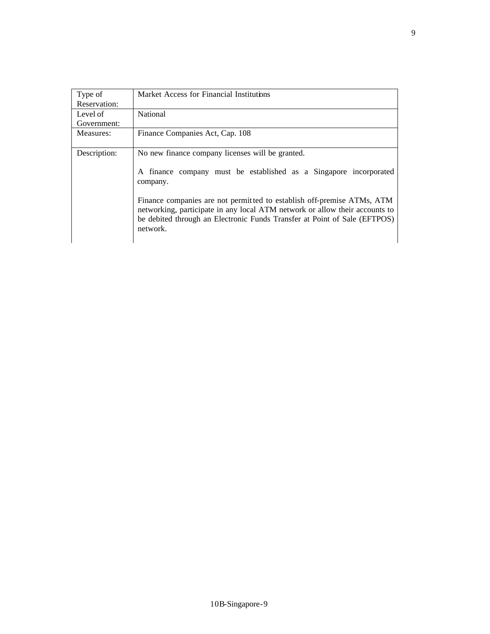| Type of<br>Reservation: | Market Access for Financial Institutions                                                                                                                                                                                                                                                                                                                                            |
|-------------------------|-------------------------------------------------------------------------------------------------------------------------------------------------------------------------------------------------------------------------------------------------------------------------------------------------------------------------------------------------------------------------------------|
| Level of<br>Government: | National                                                                                                                                                                                                                                                                                                                                                                            |
| Measures:               | Finance Companies Act, Cap. 108                                                                                                                                                                                                                                                                                                                                                     |
| Description:            | No new finance company licenses will be granted.<br>A finance company must be established as a Singapore incorporated<br>company.<br>Finance companies are not permitted to establish off-premise ATMs, ATM<br>networking, participate in any local ATM network or allow their accounts to<br>be debited through an Electronic Funds Transfer at Point of Sale (EFTPOS)<br>network. |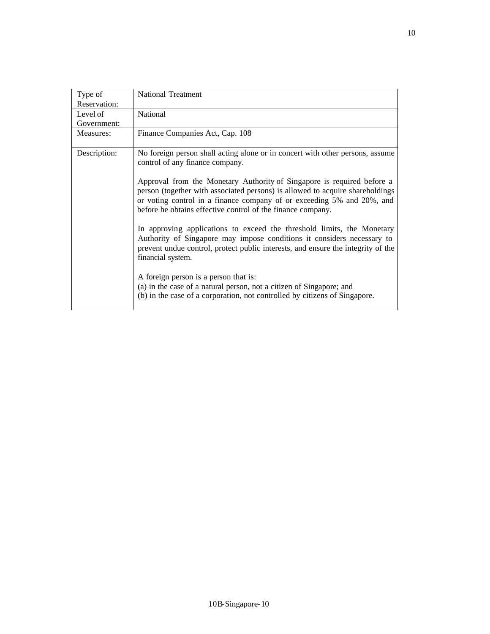| Type of      | <b>National Treatment</b>                                                                                                             |
|--------------|---------------------------------------------------------------------------------------------------------------------------------------|
| Reservation: |                                                                                                                                       |
| Level of     | National                                                                                                                              |
| Government:  |                                                                                                                                       |
| Measures:    | Finance Companies Act, Cap. 108                                                                                                       |
| Description: | No foreign person shall acting alone or in concert with other persons, assume                                                         |
|              | control of any finance company.                                                                                                       |
|              |                                                                                                                                       |
|              | Approval from the Monetary Authority of Singapore is required before a                                                                |
|              | person (together with associated persons) is allowed to acquire shareholdings                                                         |
|              | or voting control in a finance company of or exceeding 5% and 20%, and<br>before he obtains effective control of the finance company. |
|              |                                                                                                                                       |
|              | In approving applications to exceed the threshold limits, the Monetary                                                                |
|              | Authority of Singapore may impose conditions it considers necessary to                                                                |
|              | prevent undue control, protect public interests, and ensure the integrity of the                                                      |
|              | financial system.                                                                                                                     |
|              | A foreign person is a person that is:                                                                                                 |
|              | (a) in the case of a natural person, not a citizen of Singapore; and                                                                  |
|              | (b) in the case of a corporation, not controlled by citizens of Singapore.                                                            |
|              |                                                                                                                                       |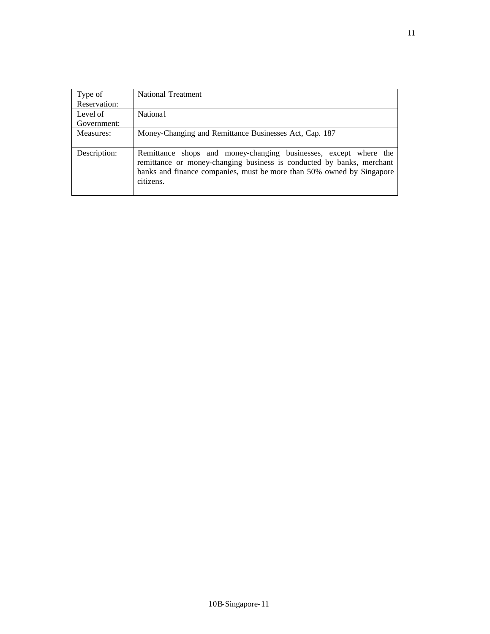| Type of      | <b>National Treatment</b>                                                                                                                      |
|--------------|------------------------------------------------------------------------------------------------------------------------------------------------|
| Reservation: |                                                                                                                                                |
| Level of     | Nationa <sup>1</sup>                                                                                                                           |
| Government:  |                                                                                                                                                |
| Measures:    | Money-Changing and Remittance Businesses Act, Cap. 187                                                                                         |
|              |                                                                                                                                                |
| Description: | Remittance shops and money-changing businesses, except where the                                                                               |
|              | remittance or money-changing business is conducted by banks, merchant<br>banks and finance companies, must be more than 50% owned by Singapore |
|              | citizens.                                                                                                                                      |
|              |                                                                                                                                                |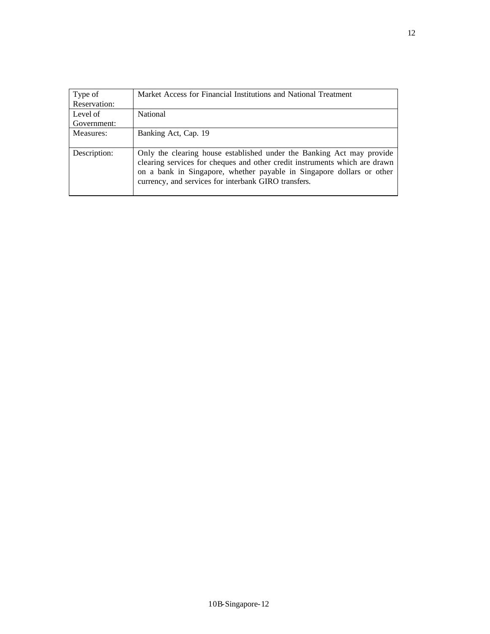| Type of<br>Reservation: | Market Access for Financial Institutions and National Treatment                                                                                                                                                                                                                      |
|-------------------------|--------------------------------------------------------------------------------------------------------------------------------------------------------------------------------------------------------------------------------------------------------------------------------------|
| Level of                | National                                                                                                                                                                                                                                                                             |
| Government:             |                                                                                                                                                                                                                                                                                      |
| Measures:               | Banking Act, Cap. 19                                                                                                                                                                                                                                                                 |
| Description:            | Only the clearing house established under the Banking Act may provide<br>clearing services for cheques and other credit instruments which are drawn<br>on a bank in Singapore, whether payable in Singapore dollars or other<br>currency, and services for interbank GIRO transfers. |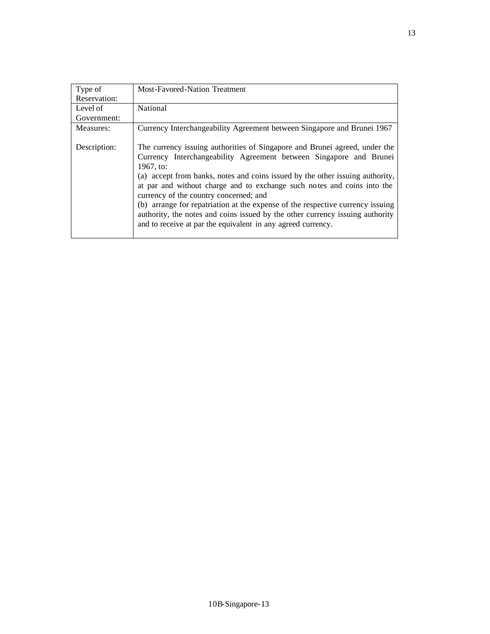| Type of<br>Reservation: | Most-Favored-Nation Treatment                                                                                                                                                                                                                                                                                                                                                                                                                                                                                                                                                                          |
|-------------------------|--------------------------------------------------------------------------------------------------------------------------------------------------------------------------------------------------------------------------------------------------------------------------------------------------------------------------------------------------------------------------------------------------------------------------------------------------------------------------------------------------------------------------------------------------------------------------------------------------------|
| Level of<br>Government: | National                                                                                                                                                                                                                                                                                                                                                                                                                                                                                                                                                                                               |
| Measures:               | Currency Interchangeability Agreement between Singapore and Brunei 1967                                                                                                                                                                                                                                                                                                                                                                                                                                                                                                                                |
| Description:            | The currency issuing authorities of Singapore and Brunei agreed, under the<br>Currency Interchangeability Agreement between Singapore and Brunei<br>1967, to:<br>(a) accept from banks, notes and coins issued by the other issuing authority,<br>at par and without charge and to exchange such notes and coins into the<br>currency of the country concerned; and<br>(b) arrange for repatriation at the expense of the respective currency issuing<br>authority, the notes and coins issued by the other currency issuing authority<br>and to receive at par the equivalent in any agreed currency. |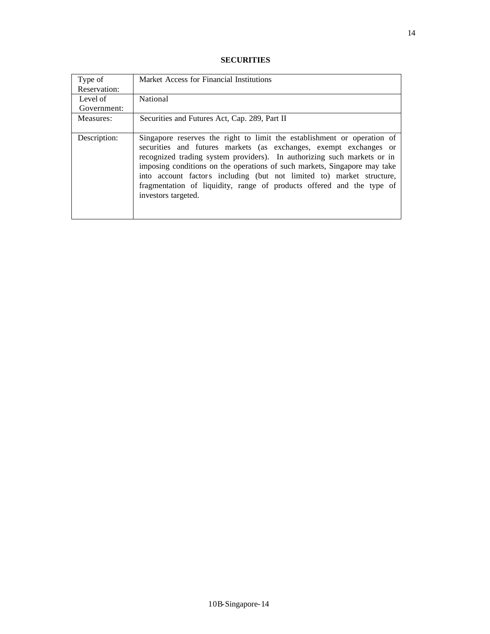### **SECURITIES**

| Type of<br>Reservation: | Market Access for Financial Institutions                                                                                                                                                                                                                                                                                                                                                                                                                                      |
|-------------------------|-------------------------------------------------------------------------------------------------------------------------------------------------------------------------------------------------------------------------------------------------------------------------------------------------------------------------------------------------------------------------------------------------------------------------------------------------------------------------------|
| Level of<br>Government: | National                                                                                                                                                                                                                                                                                                                                                                                                                                                                      |
| Measures:               | Securities and Futures Act, Cap. 289, Part II                                                                                                                                                                                                                                                                                                                                                                                                                                 |
| Description:            | Singapore reserves the right to limit the establishment or operation of<br>securities and futures markets (as exchanges, exempt exchanges or<br>recognized trading system providers). In authorizing such markets or in<br>imposing conditions on the operations of such markets, Singapore may take<br>into account factors including (but not limited to) market structure,<br>fragmentation of liquidity, range of products offered and the type of<br>investors targeted. |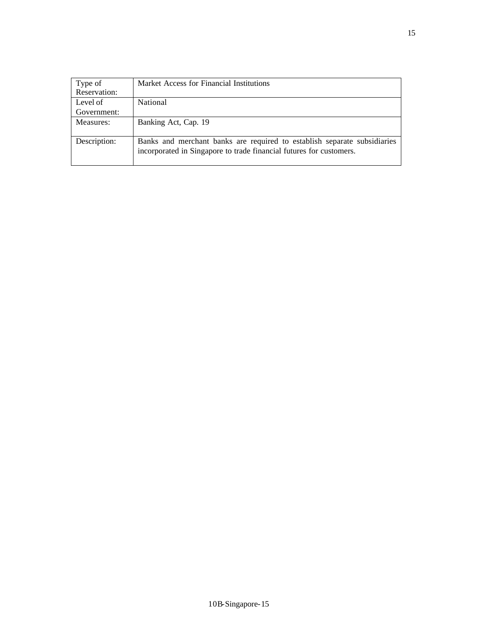| Type of      | Market Access for Financial Institutions                                                                                                        |
|--------------|-------------------------------------------------------------------------------------------------------------------------------------------------|
| Reservation: |                                                                                                                                                 |
| Level of     | National                                                                                                                                        |
| Government:  |                                                                                                                                                 |
| Measures:    | Banking Act, Cap. 19                                                                                                                            |
| Description: | Banks and merchant banks are required to establish separate subsidiaries<br>incorporated in Singapore to trade financial futures for customers. |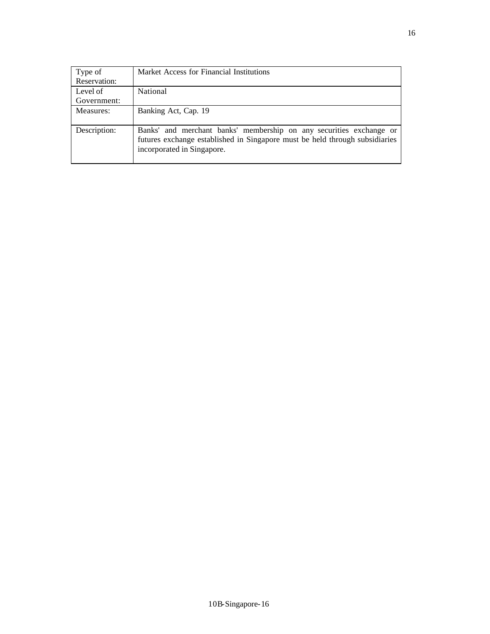| Type of      | Market Access for Financial Institutions                                                                                                                                         |
|--------------|----------------------------------------------------------------------------------------------------------------------------------------------------------------------------------|
| Reservation: |                                                                                                                                                                                  |
| Level of     | National                                                                                                                                                                         |
| Government:  |                                                                                                                                                                                  |
| Measures:    | Banking Act, Cap. 19                                                                                                                                                             |
|              |                                                                                                                                                                                  |
| Description: | Banks' and merchant banks' membership on any securities exchange or<br>futures exchange established in Singapore must be held through subsidiaries<br>incorporated in Singapore. |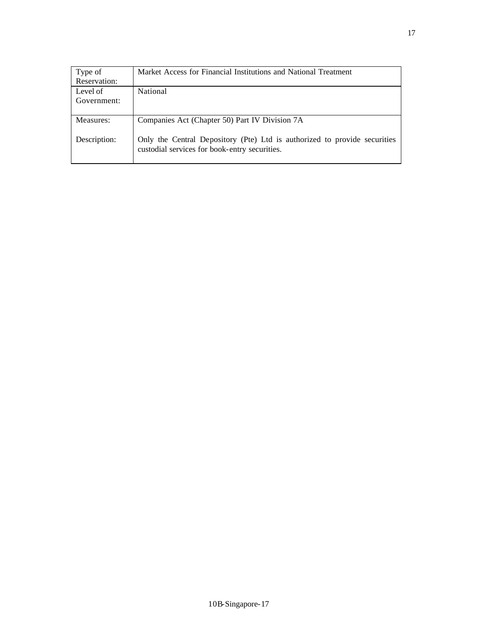| Type of      | Market Access for Financial Institutions and National Treatment                                                            |
|--------------|----------------------------------------------------------------------------------------------------------------------------|
| Reservation: |                                                                                                                            |
| Level of     | National                                                                                                                   |
| Government:  |                                                                                                                            |
|              |                                                                                                                            |
| Measures:    | Companies Act (Chapter 50) Part IV Division 7A                                                                             |
| Description: | Only the Central Depository (Pte) Ltd is authorized to provide securities<br>custodial services for book-entry securities. |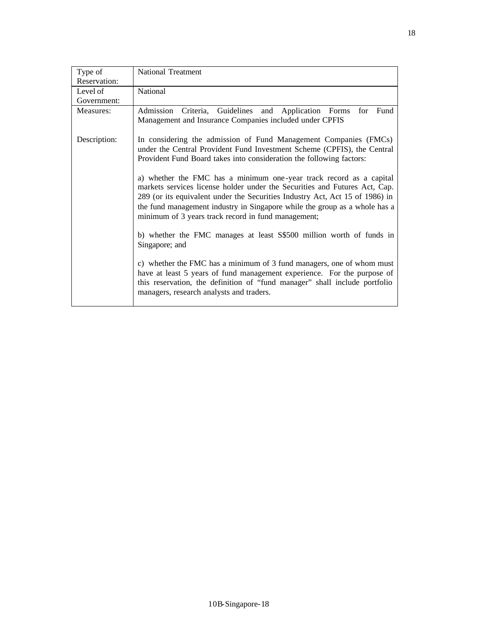| Type of      | <b>National Treatment</b>                                                                                                         |
|--------------|-----------------------------------------------------------------------------------------------------------------------------------|
| Reservation: |                                                                                                                                   |
| Level of     | National                                                                                                                          |
| Government:  |                                                                                                                                   |
| Measures:    | Criteria, Guidelines and Application Forms<br>for Fund<br>Admission                                                               |
|              | Management and Insurance Companies included under CPFIS                                                                           |
| Description: | In considering the admission of Fund Management Companies (FMCs)                                                                  |
|              | under the Central Provident Fund Investment Scheme (CPFIS), the Central                                                           |
|              | Provident Fund Board takes into consideration the following factors:                                                              |
|              | a) whether the FMC has a minimum one-year track record as a capital                                                               |
|              | markets services license holder under the Securities and Futures Act, Cap.                                                        |
|              | 289 (or its equivalent under the Securities Industry Act, Act 15 of 1986) in                                                      |
|              | the fund management industry in Singapore while the group as a whole has a<br>minimum of 3 years track record in fund management; |
|              |                                                                                                                                   |
|              | b) whether the FMC manages at least S\$500 million worth of funds in                                                              |
|              | Singapore; and                                                                                                                    |
|              | c) whether the FMC has a minimum of 3 fund managers, one of whom must                                                             |
|              | have at least 5 years of fund management experience. For the purpose of                                                           |
|              | this reservation, the definition of "fund manager" shall include portfolio                                                        |
|              | managers, research analysts and traders.                                                                                          |
|              |                                                                                                                                   |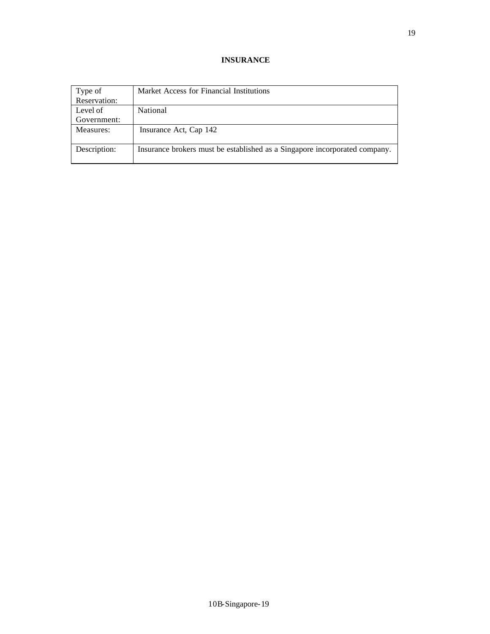### **INSURANCE**

| Type of      | Market Access for Financial Institutions                                   |
|--------------|----------------------------------------------------------------------------|
| Reservation: |                                                                            |
| Level of     | National                                                                   |
| Government:  |                                                                            |
| Measures:    | Insurance Act, Cap 142                                                     |
| Description: | Insurance brokers must be established as a Singapore incorporated company. |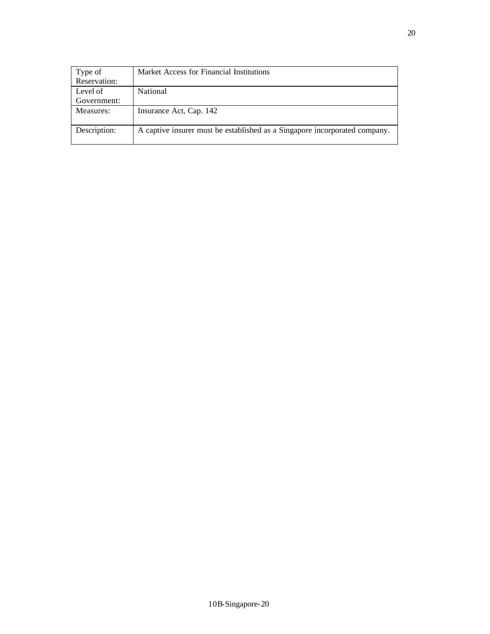| Type of      | Market Access for Financial Institutions                                   |
|--------------|----------------------------------------------------------------------------|
| Reservation: |                                                                            |
| Level of     | National                                                                   |
| Government:  |                                                                            |
| Measures:    | Insurance Act, Cap. 142                                                    |
|              |                                                                            |
| Description: | A captive insurer must be established as a Singapore incorporated company. |
|              |                                                                            |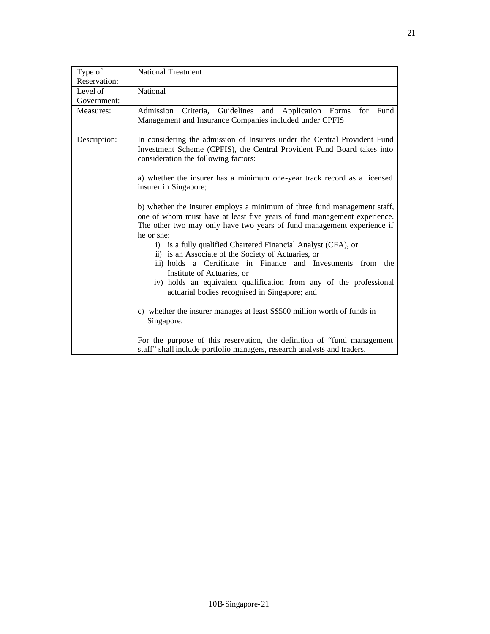| Type of      | <b>National Treatment</b>                                                                                                                                                                                                                    |
|--------------|----------------------------------------------------------------------------------------------------------------------------------------------------------------------------------------------------------------------------------------------|
| Reservation: |                                                                                                                                                                                                                                              |
| Level of     | National                                                                                                                                                                                                                                     |
| Government:  |                                                                                                                                                                                                                                              |
| Measures:    | Admission Criteria, Guidelines and Application Forms<br>for Fund<br>Management and Insurance Companies included under CPFIS                                                                                                                  |
| Description: | In considering the admission of Insurers under the Central Provident Fund<br>Investment Scheme (CPFIS), the Central Provident Fund Board takes into<br>consideration the following factors:                                                  |
|              | a) whether the insurer has a minimum one-year track record as a licensed<br>insurer in Singapore;                                                                                                                                            |
|              | b) whether the insurer employs a minimum of three fund management staff,<br>one of whom must have at least five years of fund management experience.<br>The other two may only have two years of fund management experience if<br>he or she: |
|              | i) is a fully qualified Chartered Financial Analyst (CFA), or<br>ii) is an Associate of the Society of Actuaries, or                                                                                                                         |
|              | iii) holds a Certificate in Finance and Investments from the<br>Institute of Actuaries, or                                                                                                                                                   |
|              | iv) holds an equivalent qualification from any of the professional<br>actuarial bodies recognised in Singapore; and                                                                                                                          |
|              | c) whether the insurer manages at least S\$500 million worth of funds in<br>Singapore.                                                                                                                                                       |
|              | For the purpose of this reservation, the definition of "fund management"<br>staff" shall include portfolio managers, research analysts and traders.                                                                                          |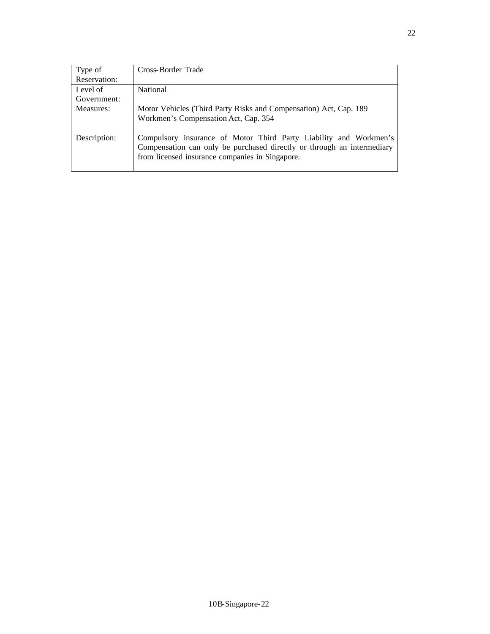| Type of      | Cross-Border Trade                                                     |
|--------------|------------------------------------------------------------------------|
| Reservation: |                                                                        |
| Level of     | National                                                               |
| Government:  |                                                                        |
| Measures:    | Motor Vehicles (Third Party Risks and Compensation) Act, Cap. 189      |
|              | Workmen's Compensation Act, Cap. 354                                   |
|              |                                                                        |
| Description: | Compulsory insurance of Motor Third Party Liability and Workmen's      |
|              | Compensation can only be purchased directly or through an intermediary |
|              | from licensed insurance companies in Singapore.                        |
|              |                                                                        |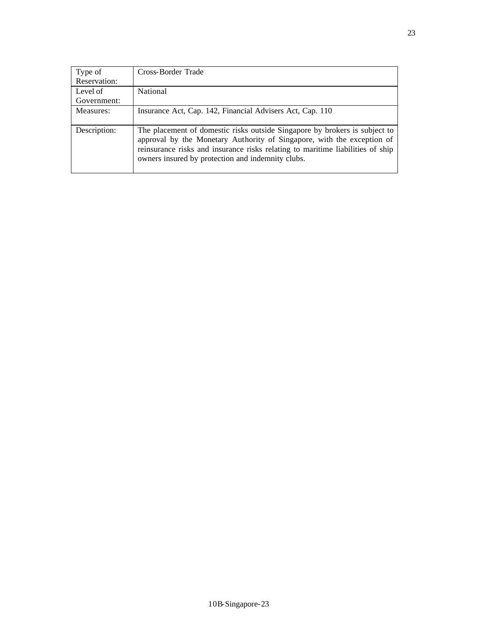| Type of      | Cross-Border Trade                                                                                                                                                                                                                                                                          |
|--------------|---------------------------------------------------------------------------------------------------------------------------------------------------------------------------------------------------------------------------------------------------------------------------------------------|
| Reservation: |                                                                                                                                                                                                                                                                                             |
| Level of     | National                                                                                                                                                                                                                                                                                    |
| Government:  |                                                                                                                                                                                                                                                                                             |
| Measures:    | Insurance Act, Cap. 142, Financial Advisers Act, Cap. 110                                                                                                                                                                                                                                   |
| Description: | The placement of domestic risks outside Singapore by brokers is subject to<br>approval by the Monetary Authority of Singapore, with the exception of<br>reinsurance risks and insurance risks relating to maritime liabilities of ship<br>owners insured by protection and indemnity clubs. |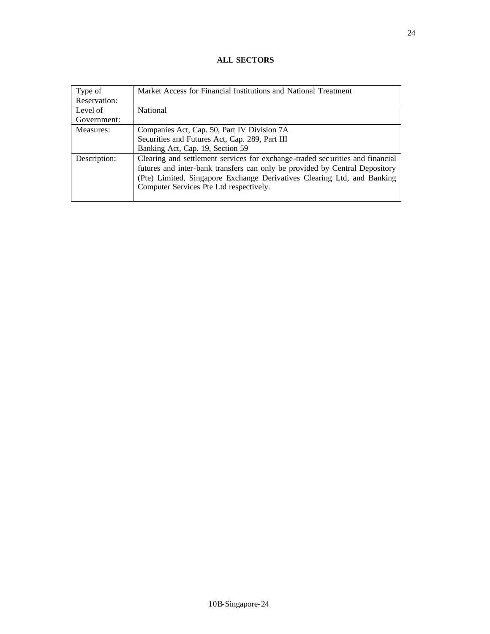## **ALL SECTORS**

| Type of      | Market Access for Financial Institutions and National Treatment               |
|--------------|-------------------------------------------------------------------------------|
| Reservation: |                                                                               |
| Level of     | National                                                                      |
| Government:  |                                                                               |
| Measures:    | Companies Act, Cap. 50, Part IV Division 7A                                   |
|              | Securities and Futures Act, Cap. 289, Part III                                |
|              | Banking Act, Cap. 19, Section 59                                              |
| Description: | Clearing and settlement services for exchange-traded securities and financial |
|              | futures and inter-bank transfers can only be provided by Central Depository   |
|              | (Pte) Limited, Singapore Exchange Derivatives Clearing Ltd, and Banking       |
|              | Computer Services Pte Ltd respectively.                                       |
|              |                                                                               |